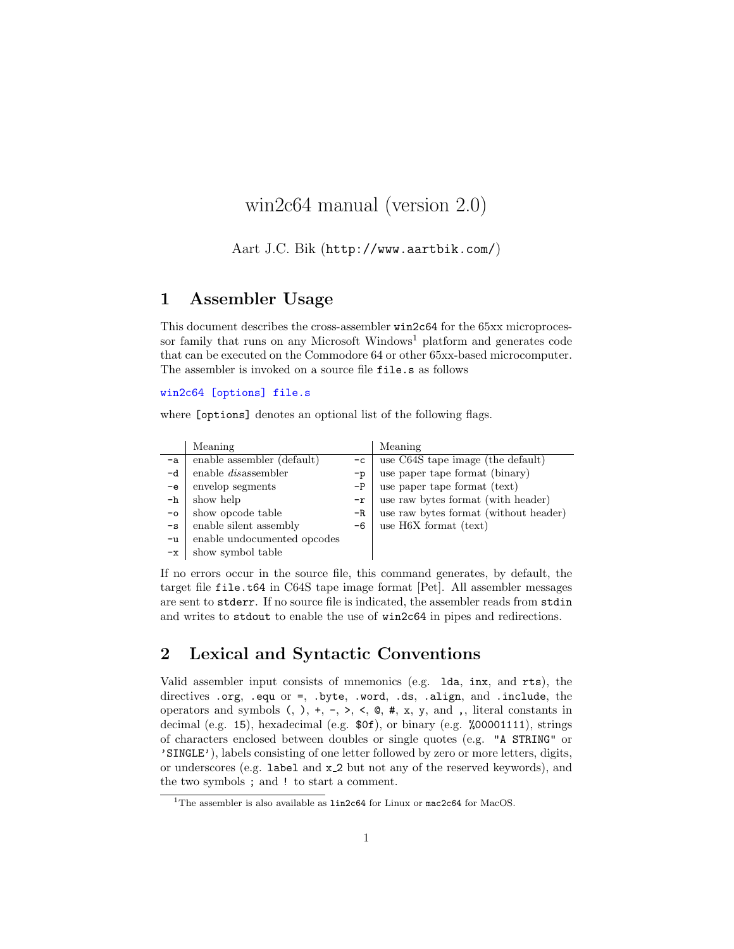# win2c64 manual (version 2.0)

Aart J.C. Bik (http://www.aartbik.com/)

#### 1 Assembler Usage

This document describes the cross-assembler win2c64 for the 65xx microprocessor family that runs on any Microsoft Windows<sup>1</sup> platform and generates code that can be executed on the Commodore 64 or other 65xx-based microcomputer. The assembler is invoked on a source file file.s as follows

#### win2c64 [options] file.s

where [options] denotes an optional list of the following flags.

|               | Meaning                     |      | Meaning                               |
|---------------|-----------------------------|------|---------------------------------------|
| -a            | enable assembler (default)  | $-c$ | use C64S tape image (the default)     |
| -d            | enable <i>dis</i> assembler | $-p$ | use paper tape format (binary)        |
| $-e$          | envelop segments            | $-P$ | use paper tape format (text)          |
| -h            | show help                   | $-r$ | use raw bytes format (with header)    |
| $-\circ$      | show opcode table           | $-R$ | use raw bytes format (without header) |
| $-\mathbf{s}$ | enable silent assembly      | -6   | use $H6X$ format (text)               |
| $-u$          | enable undocumented opcodes |      |                                       |
| $-x$          | show symbol table           |      |                                       |

If no errors occur in the source file, this command generates, by default, the target file file.t64 in C64S tape image format [Pet]. All assembler messages are sent to stderr. If no source file is indicated, the assembler reads from stdin and writes to stdout to enable the use of win2c64 in pipes and redirections.

# 2 Lexical and Syntactic Conventions

Valid assembler input consists of mnemonics (e.g. lda, inx, and rts), the directives .org, .equ or =, .byte, .word, .ds, .align, and .include, the operators and symbols  $(, ), +, -, >, <, \mathcal{Q}, \mathcal{H}, x, y, \text{ and }$ , literal constants in decimal (e.g. 15), hexadecimal (e.g. \$0f), or binary (e.g. %00001111), strings of characters enclosed between doubles or single quotes (e.g. "A STRING" or 'SINGLE'), labels consisting of one letter followed by zero or more letters, digits, or underscores (e.g. label and x 2 but not any of the reserved keywords), and the two symbols ; and ! to start a comment.

 $1$ The assembler is also available as  $1$ in2c64 for Linux or mac2c64 for MacOS.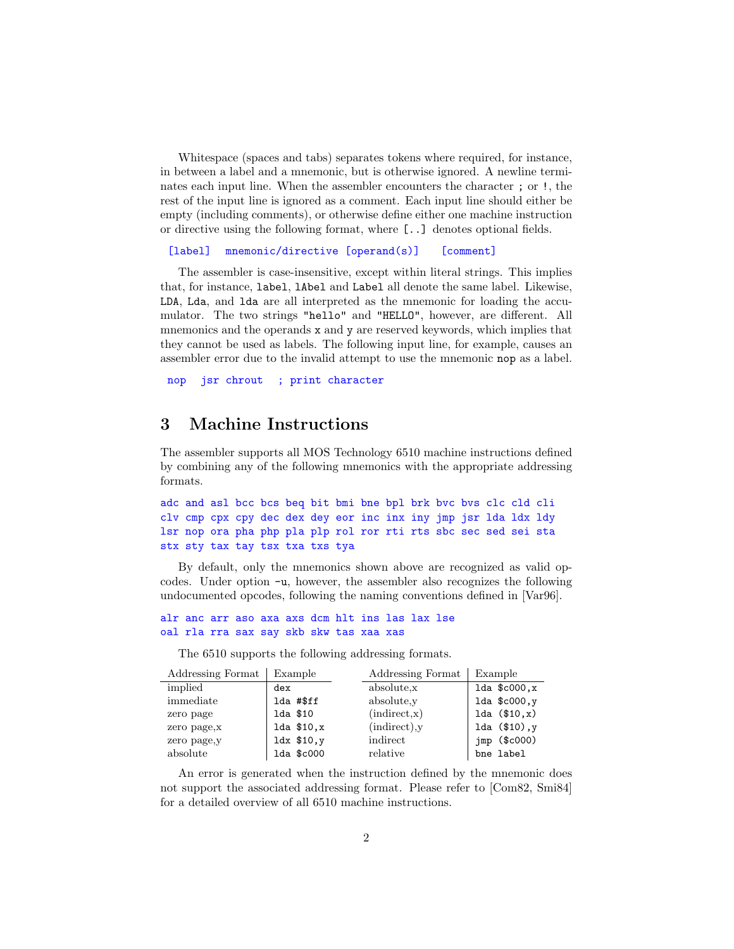Whitespace (spaces and tabs) separates tokens where required, for instance, in between a label and a mnemonic, but is otherwise ignored. A newline terminates each input line. When the assembler encounters the character ; or !, the rest of the input line is ignored as a comment. Each input line should either be empty (including comments), or otherwise define either one machine instruction or directive using the following format, where [..] denotes optional fields.

[label] mnemonic/directive [operand(s)] [comment]

The assembler is case-insensitive, except within literal strings. This implies that, for instance, label, lAbel and Label all denote the same label. Likewise, LDA, Lda, and lda are all interpreted as the mnemonic for loading the accumulator. The two strings "hello" and "HELLO", however, are different. All mnemonics and the operands x and y are reserved keywords, which implies that they cannot be used as labels. The following input line, for example, causes an assembler error due to the invalid attempt to use the mnemonic nop as a label.

nop jsr chrout ; print character

#### 3 Machine Instructions

The assembler supports all MOS Technology 6510 machine instructions defined by combining any of the following mnemonics with the appropriate addressing formats.

adc and asl bcc bcs beq bit bmi bne bpl brk bvc bvs clc cld cli clv cmp cpx cpy dec dex dey eor inc inx iny jmp jsr lda ldx ldy lsr nop ora pha php pla plp rol ror rti rts sbc sec sed sei sta stx sty tax tay tsx txa txs tya

By default, only the mnemonics shown above are recognized as valid opcodes. Under option -u, however, the assembler also recognizes the following undocumented opcodes, following the naming conventions defined in [Var96].

```
alr anc arr aso axa axs dcm hlt ins las lax lse
oal rla rra sax say skb skw tas xaa xas
```
The 6510 supports the following addressing formats.

| Addressing Format | Example         | Addressing Format     | Example            |
|-------------------|-----------------|-----------------------|--------------------|
| implied           | dex             | absolute <sub>x</sub> | $1da$ $$c000$ , x  |
| immediate         | lda #\$ff       | absolute <sub>y</sub> | $1da$ $$c000,y$    |
| zero page         | 1da \$10        | (indirect,x)          | 1da (\$10,x)       |
| zero page, x      | $1da$ \$10, $x$ | (indirect), y         | 1da $(\$10)$ , y   |
| zero page, y      | $ldx$ \$10, $y$ | indirect              | $imp$ (\$ $c000$ ) |
| absolute          | lda \$c000      | relative              | bne label          |

An error is generated when the instruction defined by the mnemonic does not support the associated addressing format. Please refer to [Com82, Smi84] for a detailed overview of all 6510 machine instructions.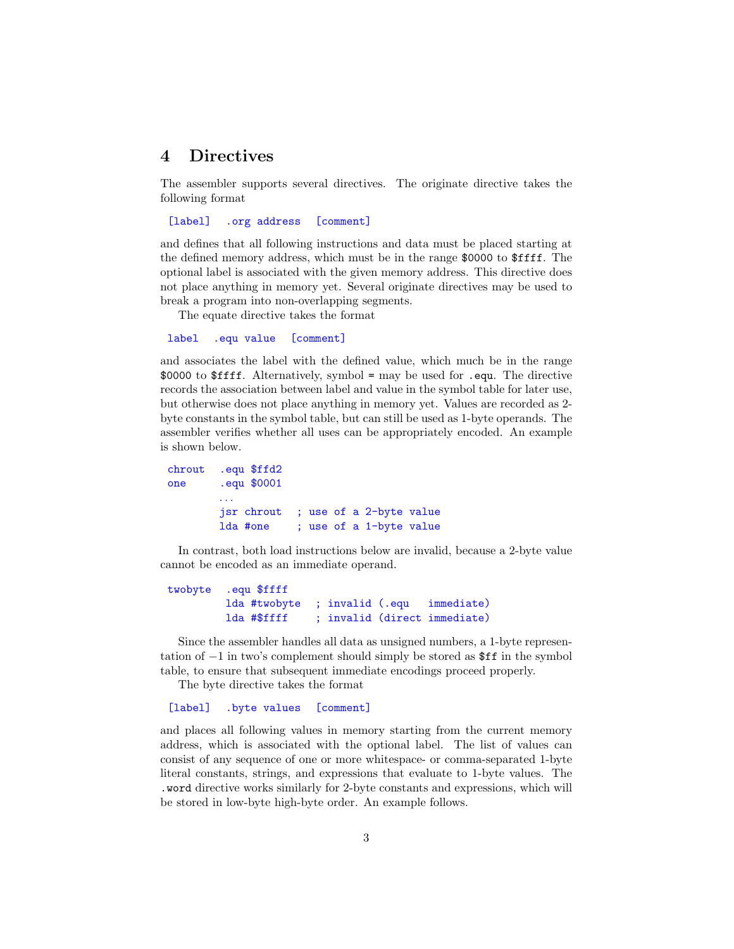#### 4 Directives

The assembler supports several directives. The originate directive takes the following format

[label] .org address [comment]

and defines that all following instructions and data must be placed starting at the defined memory address, which must be in the range \$0000 to \$ffff. The optional label is associated with the given memory address. This directive does not place anything in memory yet. Several originate directives may be used to break a program into non-overlapping segments.

The equate directive takes the format

```
label .equ value [comment]
```
and associates the label with the defined value, which much be in the range \$0000 to \$ffff. Alternatively, symbol = may be used for .equ. The directive records the association between label and value in the symbol table for later use, but otherwise does not place anything in memory yet. Values are recorded as 2 byte constants in the symbol table, but can still be used as 1-byte operands. The assembler verifies whether all uses can be appropriately encoded. An example is shown below.

```
chrout .equ $ffd2
one .equ $0001
        . . .
        jsr chrout ; use of a 2-byte value
        lda #one ; use of a 1-byte value
```
In contrast, both load instructions below are invalid, because a 2-byte value cannot be encoded as an immediate operand.

```
twobyte .equ $ffff
        lda #twobyte ; invalid (.equ immediate)
        lda #$ffff ; invalid (direct immediate)
```
Since the assembler handles all data as unsigned numbers, a 1-byte representation of −1 in two's complement should simply be stored as \$ff in the symbol table, to ensure that subsequent immediate encodings proceed properly.

The byte directive takes the format

[label] .byte values [comment]

and places all following values in memory starting from the current memory address, which is associated with the optional label. The list of values can consist of any sequence of one or more whitespace- or comma-separated 1-byte literal constants, strings, and expressions that evaluate to 1-byte values. The .word directive works similarly for 2-byte constants and expressions, which will be stored in low-byte high-byte order. An example follows.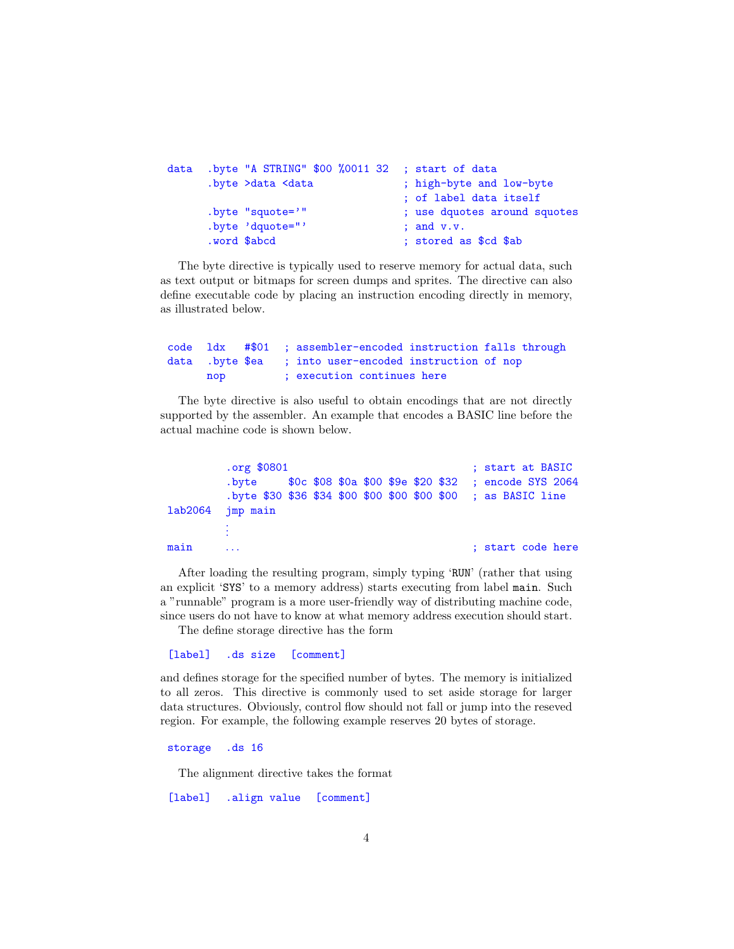```
data .byte "A STRING" $00 %0011 32 ; start of data
     .byte >data <data (i) ; high-byte and low-byte
                              ; of label data itself
     .byte "squote='" ; use dquotes around squotes
     .byte 'dquote="' ; and v.v.
     .word $abcd ; stored as $cd $ab
```
The byte directive is typically used to reserve memory for actual data, such as text output or bitmaps for screen dumps and sprites. The directive can also define executable code by placing an instruction encoding directly in memory, as illustrated below.

code ldx #\$01 ; assembler-encoded instruction falls through data .byte \$ea ; into user-encoded instruction of nop nop ; execution continues here

The byte directive is also useful to obtain encodings that are not directly supported by the assembler. An example that encodes a BASIC line before the actual machine code is shown below.

```
.org $0801 ; start at BASIC
         .byte $0c $08 $0a $00 $9e $20 $32 ; encode SYS 2064
         .byte $30 $36 $34 $00 $00 $00 $00 $00 ; as BASIC line
lab2064 jmp main
         .
         .
         .
main ... Example 19 and the start code here is the start code here is start code here
```
After loading the resulting program, simply typing 'RUN' (rather that using an explicit 'SYS' to a memory address) starts executing from label main. Such a "runnable" program is a more user-friendly way of distributing machine code, since users do not have to know at what memory address execution should start.

The define storage directive has the form

```
[label] .ds size [comment]
```
and defines storage for the specified number of bytes. The memory is initialized to all zeros. This directive is commonly used to set aside storage for larger data structures. Obviously, control flow should not fall or jump into the reseved region. For example, the following example reserves 20 bytes of storage.

#### storage .ds 16

The alignment directive takes the format

[label] .align value [comment]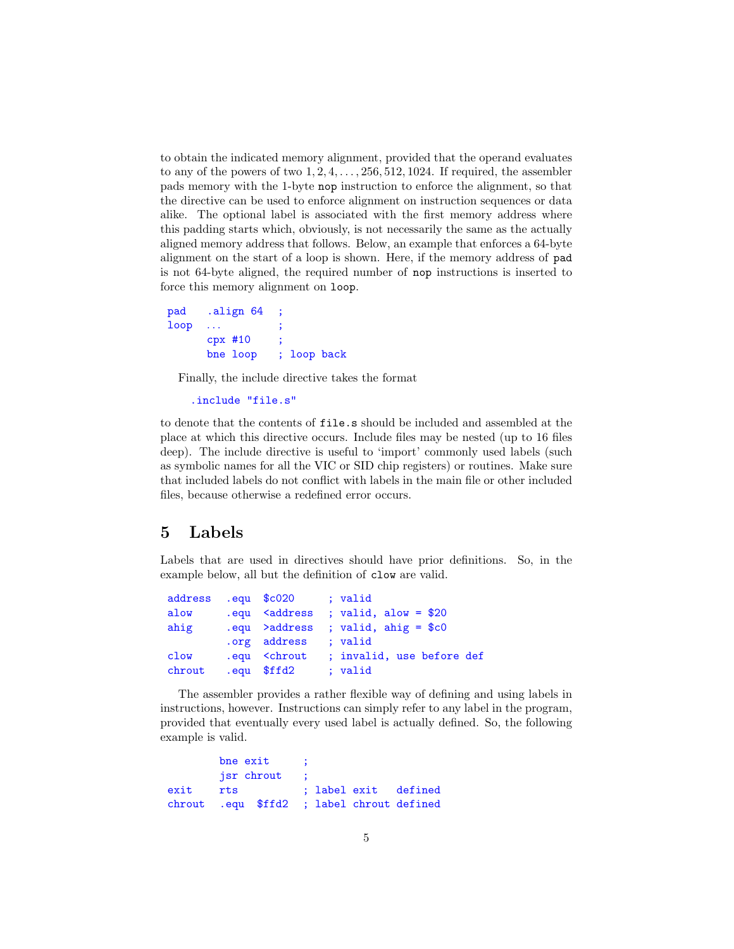to obtain the indicated memory alignment, provided that the operand evaluates to any of the powers of two  $1, 2, 4, \ldots, 256, 512, 1024$ . If required, the assembler pads memory with the 1-byte nop instruction to enforce the alignment, so that the directive can be used to enforce alignment on instruction sequences or data alike. The optional label is associated with the first memory address where this padding starts which, obviously, is not necessarily the same as the actually aligned memory address that follows. Below, an example that enforces a 64-byte alignment on the start of a loop is shown. Here, if the memory address of pad is not 64-byte aligned, the required number of nop instructions is inserted to force this memory alignment on loop.

```
pad .align 64
loop \dotscpx #10
      bne loop ; loop back
```
Finally, the include directive takes the format

```
.include "file.s"
```
to denote that the contents of file.s should be included and assembled at the place at which this directive occurs. Include files may be nested (up to 16 files deep). The include directive is useful to 'import' commonly used labels (such as symbolic names for all the VIC or SID chip registers) or routines. Make sure that included labels do not conflict with labels in the main file or other included files, because otherwise a redefined error occurs.

## 5 Labels

Labels that are used in directives should have prior definitions. So, in the example below, all but the definition of clow are valid.

```
address .equ $c020 ; valid
alow .equ <address ; valid, alow = $20
ahig .equ >address ; valid, ahig = $c0
        .org address ; valid
clow .equ <chrout ; invalid, use before def
chrout .equ $ffd2 ; valid
```
The assembler provides a rather flexible way of defining and using labels in instructions, however. Instructions can simply refer to any label in the program, provided that eventually every used label is actually defined. So, the following example is valid.

```
bne exit
       jsr chrout
exit rts ; label exit defined
chrout .equ $ffd2 ; label chrout defined
```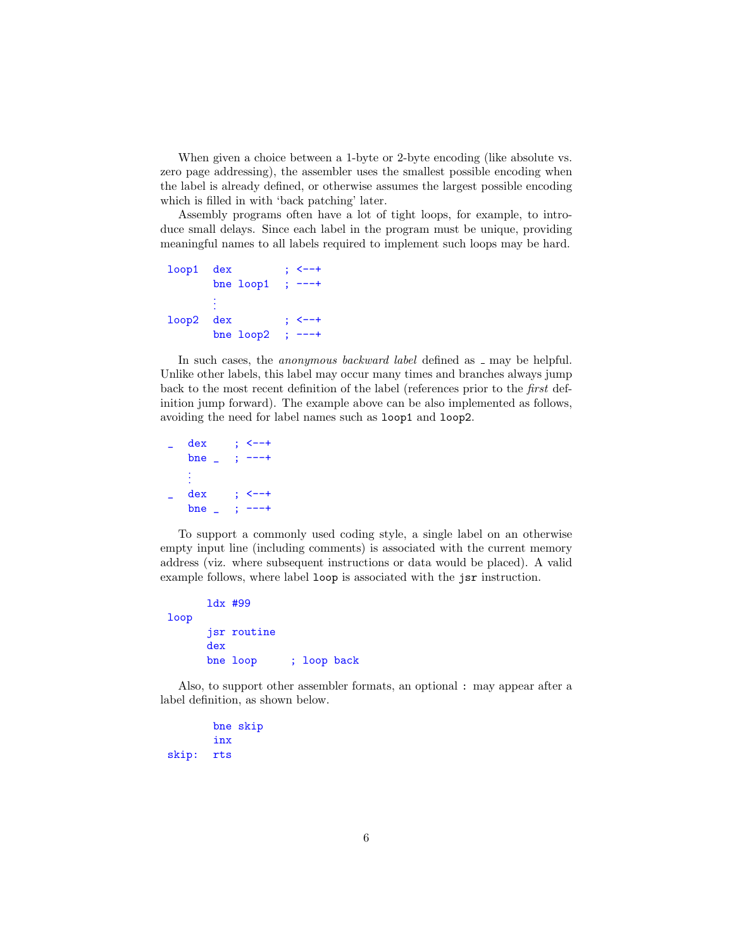When given a choice between a 1-byte or 2-byte encoding (like absolute vs. zero page addressing), the assembler uses the smallest possible encoding when the label is already defined, or otherwise assumes the largest possible encoding which is filled in with 'back patching' later.

Assembly programs often have a lot of tight loops, for example, to introduce small delays. Since each label in the program must be unique, providing meaningful names to all labels required to implement such loops may be hard.

```
loop1 dex ; <--+
     bne loop1 ; ---+.
      .
      .
loop2 dex ; <--+
     bne loop2 ; ---
```
In such cases, the *anonymous backward label* defined as  $\Box$  may be helpful. Unlike other labels, this label may occur many times and branches always jump back to the most recent definition of the label (references prior to the first definition jump forward). The example above can be also implemented as follows, avoiding the need for label names such as loop1 and loop2.

```
dex ; \leftarrow +
bne _ ; ---+
.
.
.
dex ; <--+
bne _ ; ---+
```
To support a commonly used coding style, a single label on an otherwise empty input line (including comments) is associated with the current memory address (viz. where subsequent instructions or data would be placed). A valid example follows, where label loop is associated with the jsr instruction.

```
ldx #99
loop
      jsr routine
      dex
     bne loop ; loop back
```
Also, to support other assembler formats, an optional : may appear after a label definition, as shown below.

bne skip inx skip: rts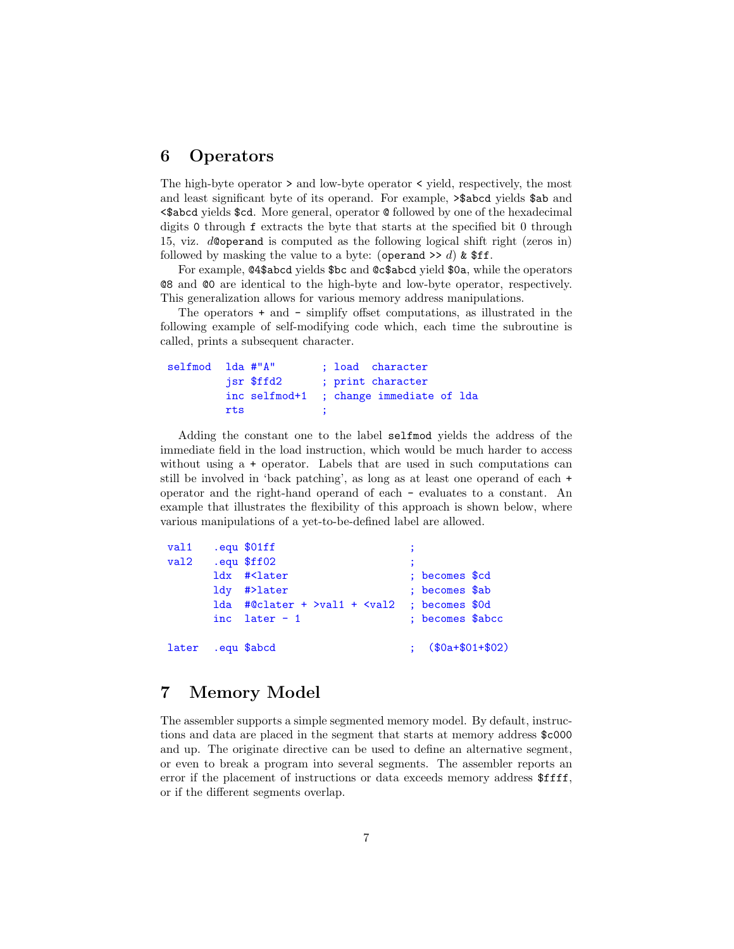#### 6 Operators

The high-byte operator > and low-byte operator < yield, respectively, the most and least significant byte of its operand. For example, >\$abcd yields \$ab and <\$abcd yields \$cd. More general, operator @ followed by one of the hexadecimal digits 0 through f extracts the byte that starts at the specified bit 0 through 15, viz. d@operand is computed as the following logical shift right (zeros in) followed by masking the value to a byte: (operand  $\geq d$ ) & \$ff.

For example, @4\$abcd yields \$bc and @c\$abcd yield \$0a, while the operators @8 and @0 are identical to the high-byte and low-byte operator, respectively. This generalization allows for various memory address manipulations.

The operators + and - simplify offset computations, as illustrated in the following example of self-modifying code which, each time the subroutine is called, prints a subsequent character.

```
selfmod lda #"A" ; load character
        jsr $ffd2 ; print character
        inc selfmod+1 ; change immediate of lda
        rts ;
```
Adding the constant one to the label selfmod yields the address of the immediate field in the load instruction, which would be much harder to access without using a + operator. Labels that are used in such computations can still be involved in 'back patching', as long as at least one operand of each + operator and the right-hand operand of each - evaluates to a constant. An example that illustrates the flexibility of this approach is shown below, where various manipulations of a yet-to-be-defined label are allowed.

```
val1 .equ $01ff
val2 .equ $ff02
     ldx #<later ; becomes $cd
     ldy #>later ; becomes $ab
     lda #@clater + >val1 + <val2 ; becomes $0d
     inc later - 1 ; becomes $abcc
later .equ $abcd ; ($0a+$01+$02)
```
#### 7 Memory Model

The assembler supports a simple segmented memory model. By default, instructions and data are placed in the segment that starts at memory address \$c000 and up. The originate directive can be used to define an alternative segment, or even to break a program into several segments. The assembler reports an error if the placement of instructions or data exceeds memory address \$ffff, or if the different segments overlap.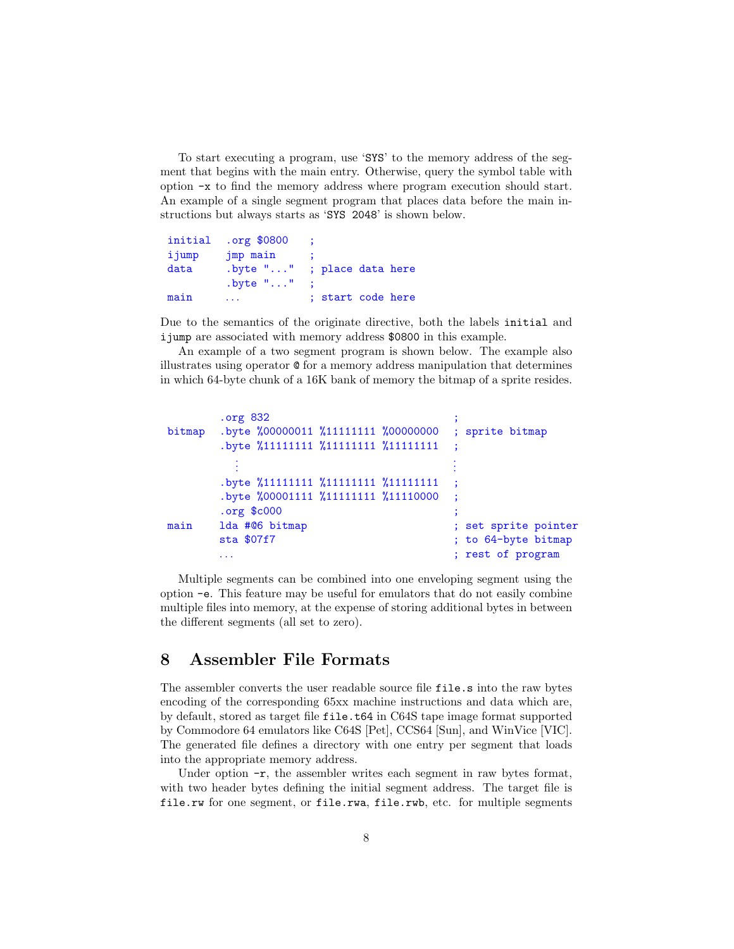To start executing a program, use 'SYS' to the memory address of the segment that begins with the main entry. Otherwise, query the symbol table with option -x to find the memory address where program execution should start. An example of a single segment program that places data before the main instructions but always starts as 'SYS 2048' is shown below.

|       | initial .org \$0800 |                   |
|-------|---------------------|-------------------|
| ijump | jmp main            |                   |
| data  | $.b$ vte $" \dots"$ | ; place data here |
|       | $.b$ yte $""$       |                   |
| main  |                     | ; start code here |

Due to the semantics of the originate directive, both the labels initial and ijump are associated with memory address \$0800 in this example.

An example of a two segment program is shown below. The example also illustrates using operator @ for a memory address manipulation that determines in which 64-byte chunk of a 16K bank of memory the bitmap of a sprite resides.

```
.org 832
bitmap .byte %00000011 %11111111 %00000000 ; sprite bitmap
         .byte %11111111 %11111111 %11111111
            .
            .
            .
                                                  .
                                                  .
                                                  .
         .byte %11111111 %11111111 %11111111
         .byte %00001111 %11111111 %11110000
         .org $c000 ;
main 1da #06 bitmap ; set sprite pointer
         sta $07f7 (and its standard standard standard state); to 64-byte bitmap
         ... The contract of program is the contract of program in \mathcal{F}; rest of program
```
Multiple segments can be combined into one enveloping segment using the option -e. This feature may be useful for emulators that do not easily combine multiple files into memory, at the expense of storing additional bytes in between the different segments (all set to zero).

#### 8 Assembler File Formats

The assembler converts the user readable source file file.s into the raw bytes encoding of the corresponding 65xx machine instructions and data which are, by default, stored as target file file.t64 in C64S tape image format supported by Commodore 64 emulators like C64S [Pet], CCS64 [Sun], and WinVice [VIC]. The generated file defines a directory with one entry per segment that loads into the appropriate memory address.

Under option  $-r$ , the assembler writes each segment in raw bytes format, with two header bytes defining the initial segment address. The target file is file.rw for one segment, or file.rwa, file.rwb, etc. for multiple segments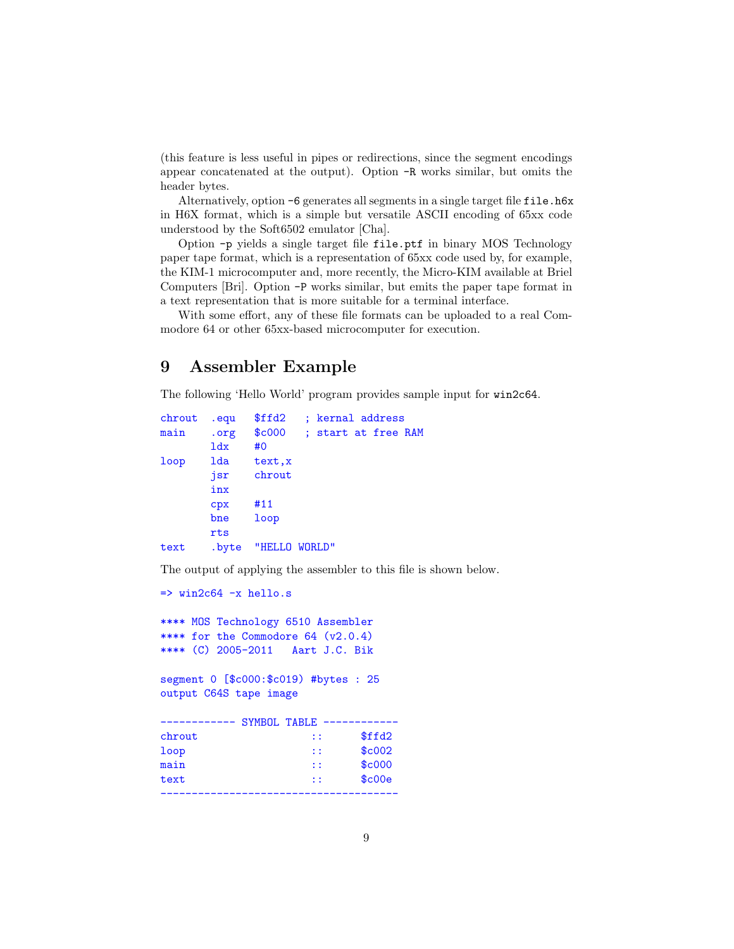(this feature is less useful in pipes or redirections, since the segment encodings appear concatenated at the output). Option -R works similar, but omits the header bytes.

Alternatively, option -6 generates all segments in a single target file file.h6x in H6X format, which is a simple but versatile ASCII encoding of 65xx code understood by the Soft6502 emulator [Cha].

Option -p yields a single target file file.ptf in binary MOS Technology paper tape format, which is a representation of 65xx code used by, for example, the KIM-1 microcomputer and, more recently, the Micro-KIM available at Briel Computers [Bri]. Option -P works similar, but emits the paper tape format in a text representation that is more suitable for a terminal interface.

With some effort, any of these file formats can be uploaded to a real Commodore 64 or other 65xx-based microcomputer for execution.

## 9 Assembler Example

The following 'Hello World' program provides sample input for win2c64.

```
chrout .equ $ffd2 ; kernal address
main .org $c000 ; start at free RAM
      ldx #0
loop lda text,x
      jsr chrout
      inx
      cpx #11
      bne loop
      rts
text .byte "HELLO WORLD"
```
The output of applying the assembler to this file is shown below.

```
\Rightarrow win2c64 -x hello.s
```
\*\*\*\* MOS Technology 6510 Assembler \*\*\*\* for the Commodore 64 (v2.0.4) \*\*\*\* (C) 2005-2011 Aart J.C. Bik

segment 0 [\$c000:\$c019) #bytes : 25 output C64S tape image

|        | SYMBOL TABLE |              |        |
|--------|--------------|--------------|--------|
| chrout |              | $\mathbf{1}$ | \$ffd2 |
| loop   |              | $\mathbf{1}$ | \$c002 |
| main   |              | $\mathbf{1}$ | \$c000 |
| text   |              | $\mathbf{1}$ | \$c00e |
|        |              |              |        |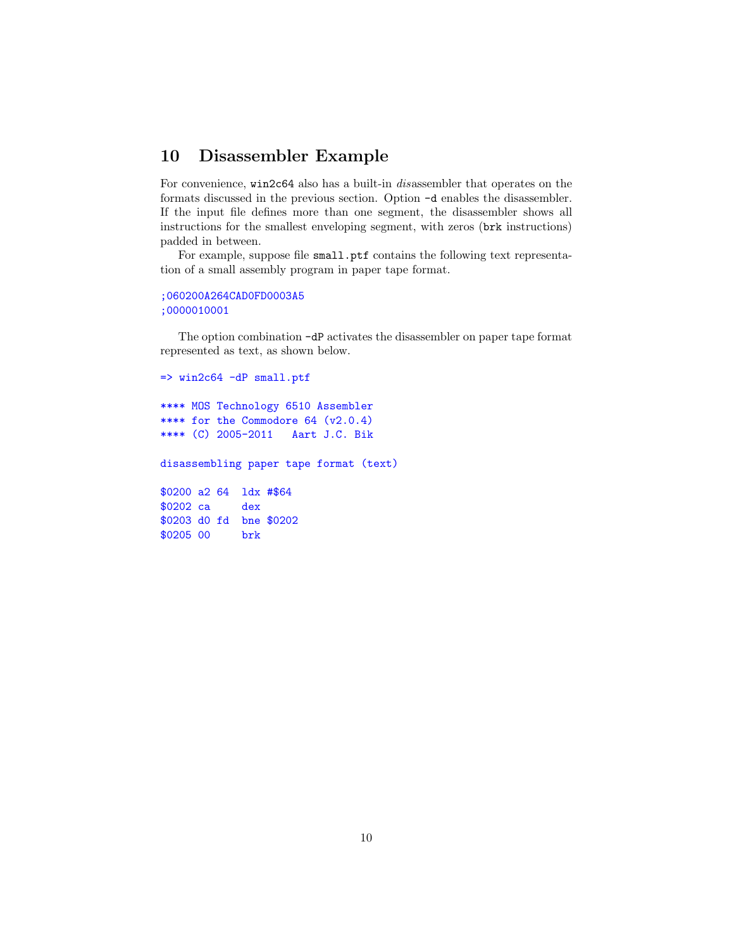#### 10 Disassembler Example

For convenience, win2c64 also has a built-in disassembler that operates on the formats discussed in the previous section. Option -d enables the disassembler. If the input file defines more than one segment, the disassembler shows all instructions for the smallest enveloping segment, with zeros (brk instructions) padded in between.

For example, suppose file small.ptf contains the following text representation of a small assembly program in paper tape format.

```
;060200A264CAD0FD0003A5
;0000010001
```
The option combination -dP activates the disassembler on paper tape format represented as text, as shown below.

```
\Rightarrow win2c64 -dP small.ptf
**** MOS Technology 6510 Assembler
**** for the Commodore 64 (v2.0.4)
**** (C) 2005-2011 Aart J.C. Bik
disassembling paper tape format (text)
$0200 a2 64 ldx #$64
$0202 ca dex
$0203 d0 fd bne $0202
$0205 00 brk
```